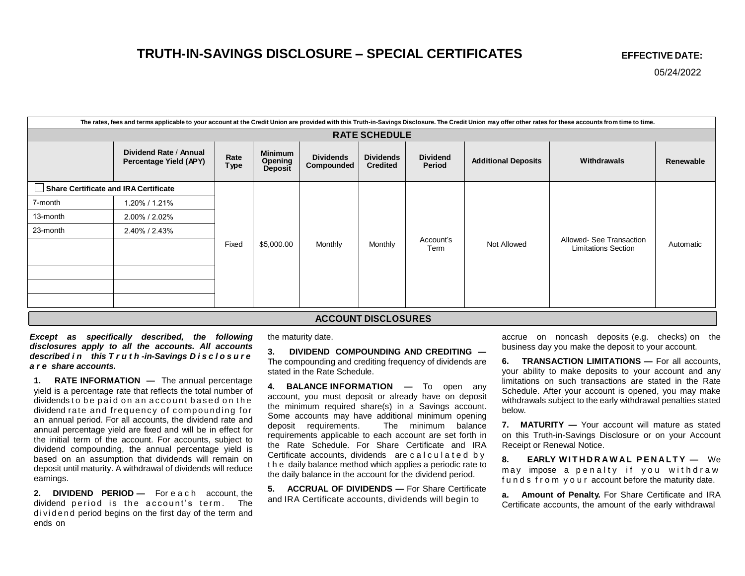## **TRUTH-IN-SAVINGS DISCLOSURE – SPECIAL CERTIFICATES EFFECTIVE DATE:**

05/24/2022

| The rates, fees and terms applicable to your account at the Credit Union are provided with this Truth-in-Savings Disclosure. The Credit Union may offer other rates for these accounts from time to time. |                                                  |              |                               |                                |                                     |                           |                            |                                                        |           |
|-----------------------------------------------------------------------------------------------------------------------------------------------------------------------------------------------------------|--------------------------------------------------|--------------|-------------------------------|--------------------------------|-------------------------------------|---------------------------|----------------------------|--------------------------------------------------------|-----------|
| <b>RATE SCHEDULE</b>                                                                                                                                                                                      |                                                  |              |                               |                                |                                     |                           |                            |                                                        |           |
|                                                                                                                                                                                                           | Dividend Rate / Annual<br>Percentage Yield (APY) | Rate<br>Type | Minimum<br>Opening<br>Deposit | <b>Dividends</b><br>Compounded | <b>Dividends</b><br><b>Credited</b> | <b>Dividend</b><br>Period | <b>Additional Deposits</b> | Withdrawals                                            | Renewable |
| Share Certificate and IRA Certificate                                                                                                                                                                     |                                                  |              |                               |                                |                                     |                           |                            |                                                        |           |
| 7-month                                                                                                                                                                                                   | 1.20% / 1.21%                                    | Fixed        | \$5,000.00                    | Monthly                        | Monthly                             | Account's<br>Term         | Not Allowed                | Allowed- See Transaction<br><b>Limitations Section</b> | Automatic |
| 13-month                                                                                                                                                                                                  | 2.00% / 2.02%                                    |              |                               |                                |                                     |                           |                            |                                                        |           |
| 23-month                                                                                                                                                                                                  | 2.40% / 2.43%                                    |              |                               |                                |                                     |                           |                            |                                                        |           |
|                                                                                                                                                                                                           |                                                  |              |                               |                                |                                     |                           |                            |                                                        |           |
|                                                                                                                                                                                                           |                                                  |              |                               |                                |                                     |                           |                            |                                                        |           |
|                                                                                                                                                                                                           |                                                  |              |                               |                                |                                     |                           |                            |                                                        |           |
|                                                                                                                                                                                                           |                                                  |              |                               |                                |                                     |                           |                            |                                                        |           |
|                                                                                                                                                                                                           |                                                  |              |                               |                                |                                     |                           |                            |                                                        |           |
| <b>ACCOUNT DISCLOSURES</b>                                                                                                                                                                                |                                                  |              |                               |                                |                                     |                           |                            |                                                        |           |

*Except as specifically described, the following disclosures apply to all the accounts. All accounts described i n this T r u t h -in-Savings D i s c l o s u r e a r e share accounts.*

**1. RATE INFORMATION —** The annual percentage yield is a percentage rate that reflects the total number of dividends to be paid on an account based on the dividend rate and frequency of compounding for an annual period. For all accounts, the dividend rate and annual percentage yield are fixed and will be in effect for the initial term of the account. For accounts, subject to dividend compounding, the annual percentage yield is based on an assumption that dividends will remain on deposit until maturity. A withdrawal of dividends will reduce earnings.

**2. DIVIDEND PERIOD —** For e a c h account, the dividend period is the account's term. The dividend period begins on the first day of the term and ends on

the maturity date.

**3. DIVIDEND COMPOUNDING AND CREDITING —** The compounding and crediting frequency of dividends are stated in the Rate Schedule.

**4. BALANCE INFORMATION —** To open any account, you must deposit or already have on deposit the minimum required share(s) in a Savings account. Some accounts may have additional minimum opening<br>deposit requirements. The minimum balance The minimum balance requirements applicable to each account are set forth in the Rate Schedule. For Share Certificate and IRA Certificate accounts, dividends are calculated by t h e daily balance method which applies a periodic rate to the daily balance in the account for the dividend period.

**5. ACCRUAL OF DIVIDENDS —** For Share Certificate and IRA Certificate accounts, dividends will begin to

accrue on noncash deposits (e.g. checks) on the business day you make the deposit to your account.

**6. TRANSACTION LIMITATIONS —** For all accounts, your ability to make deposits to your account and any limitations on such transactions are stated in the Rate Schedule. After your account is opened, you may make withdrawals subject to the early withdrawal penalties stated below.

**7. MATURITY —** Your account will mature as stated on this Truth-in-Savings Disclosure or on your Account Receipt or Renewal Notice.

**8. EARLY WITHDRAWAL PENALTY — We** may impose a penalty if you withdraw funds from your account before the maturity date.

**a. Amount of Penalty.** For Share Certificate and IRA Certificate accounts, the amount of the early withdrawal